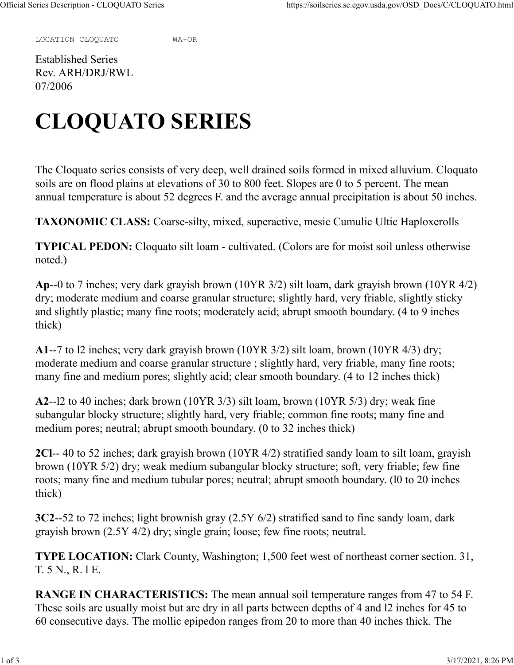LOCATION CLOQUATO WA+OR

Established Series Rev. ARH/DRJ/RWL 07/2006

## **CLOQUATO SERIES**

The Cloquato series consists of very deep, well drained soils formed in mixed alluvium. Cloquato soils are on flood plains at elevations of 30 to 800 feet. Slopes are 0 to 5 percent. The mean annual temperature is about 52 degrees F. and the average annual precipitation is about 50 inches.

**TAXONOMIC CLASS:** Coarse-silty, mixed, superactive, mesic Cumulic Ultic Haploxerolls

**TYPICAL PEDON:** Cloquato silt loam - cultivated. (Colors are for moist soil unless otherwise noted.)

**Ap**--0 to 7 inches; very dark grayish brown (10YR 3/2) silt loam, dark grayish brown (10YR 4/2) dry; moderate medium and coarse granular structure; slightly hard, very friable, slightly sticky and slightly plastic; many fine roots; moderately acid; abrupt smooth boundary. (4 to 9 inches thick)

**A1**--7 to l2 inches; very dark grayish brown (10YR 3/2) silt loam, brown (10YR 4/3) dry; moderate medium and coarse granular structure ; slightly hard, very friable, many fine roots; many fine and medium pores; slightly acid; clear smooth boundary. (4 to 12 inches thick)

**A2**--l2 to 40 inches; dark brown (10YR 3/3) silt loam, brown (10YR 5/3) dry; weak fine subangular blocky structure; slightly hard, very friable; common fine roots; many fine and medium pores; neutral; abrupt smooth boundary. (0 to 32 inches thick)

**2Cl**-- 40 to 52 inches; dark grayish brown (10YR 4/2) stratified sandy loam to silt loam, grayish brown (10YR 5/2) dry; weak medium subangular blocky structure; soft, very friable; few fine roots; many fine and medium tubular pores; neutral; abrupt smooth boundary. (l0 to 20 inches thick)

**3C2**--52 to 72 inches; light brownish gray (2.5Y 6/2) stratified sand to fine sandy loam, dark grayish brown (2.5Y 4/2) dry; single grain; loose; few fine roots; neutral.

**TYPE LOCATION:** Clark County, Washington; 1,500 feet west of northeast corner section. 31, T. 5 N., R. l E.

**RANGE IN CHARACTERISTICS:** The mean annual soil temperature ranges from 47 to 54 F. These soils are usually moist but are dry in all parts between depths of 4 and l2 inches for 45 to 60 consecutive days. The mollic epipedon ranges from 20 to more than 40 inches thick. The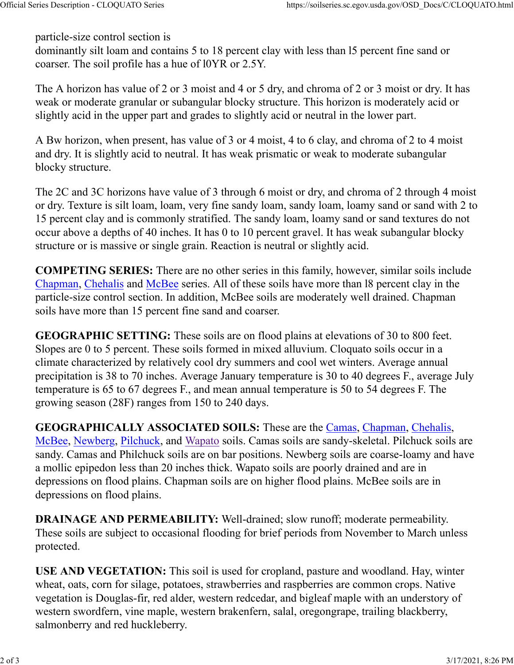particle-size control section is

dominantly silt loam and contains 5 to 18 percent clay with less than l5 percent fine sand or coarser. The soil profile has a hue of l0YR or 2.5Y.

The A horizon has value of 2 or 3 moist and 4 or 5 dry, and chroma of 2 or 3 moist or dry. It has weak or moderate granular or subangular blocky structure. This horizon is moderately acid or slightly acid in the upper part and grades to slightly acid or neutral in the lower part.

A Bw horizon, when present, has value of 3 or 4 moist, 4 to 6 clay, and chroma of 2 to 4 moist and dry. It is slightly acid to neutral. It has weak prismatic or weak to moderate subangular blocky structure.

The 2C and 3C horizons have value of 3 through 6 moist or dry, and chroma of 2 through 4 moist or dry. Texture is silt loam, loam, very fine sandy loam, sandy loam, loamy sand or sand with 2 to 15 percent clay and is commonly stratified. The sandy loam, loamy sand or sand textures do not occur above a depths of 40 inches. It has 0 to 10 percent gravel. It has weak subangular blocky structure or is massive or single grain. Reaction is neutral or slightly acid.

**COMPETING SERIES:** There are no other series in this family, however, similar soils include Chapman, Chehalis and McBee series. All of these soils have more than l8 percent clay in the particle-size control section. In addition, McBee soils are moderately well drained. Chapman soils have more than 15 percent fine sand and coarser.

**GEOGRAPHIC SETTING:** These soils are on flood plains at elevations of 30 to 800 feet. Slopes are 0 to 5 percent. These soils formed in mixed alluvium. Cloquato soils occur in a climate characterized by relatively cool dry summers and cool wet winters. Average annual precipitation is 38 to 70 inches. Average January temperature is 30 to 40 degrees F., average July temperature is 65 to 67 degrees F., and mean annual temperature is 50 to 54 degrees F. The growing season (28F) ranges from 150 to 240 days.

**GEOGRAPHICALLY ASSOCIATED SOILS:** These are the Camas, Chapman, Chehalis, McBee, Newberg, Pilchuck, and Wapato soils. Camas soils are sandy-skeletal. Pilchuck soils are sandy. Camas and Philchuck soils are on bar positions. Newberg soils are coarse-loamy and have a mollic epipedon less than 20 inches thick. Wapato soils are poorly drained and are in depressions on flood plains. Chapman soils are on higher flood plains. McBee soils are in depressions on flood plains.

**DRAINAGE AND PERMEABILITY:** Well-drained; slow runoff; moderate permeability. These soils are subject to occasional flooding for brief periods from November to March unless protected.

**USE AND VEGETATION:** This soil is used for cropland, pasture and woodland. Hay, winter wheat, oats, corn for silage, potatoes, strawberries and raspberries are common crops. Native vegetation is Douglas-fir, red alder, western redcedar, and bigleaf maple with an understory of western swordfern, vine maple, western brakenfern, salal, oregongrape, trailing blackberry, salmonberry and red huckleberry.